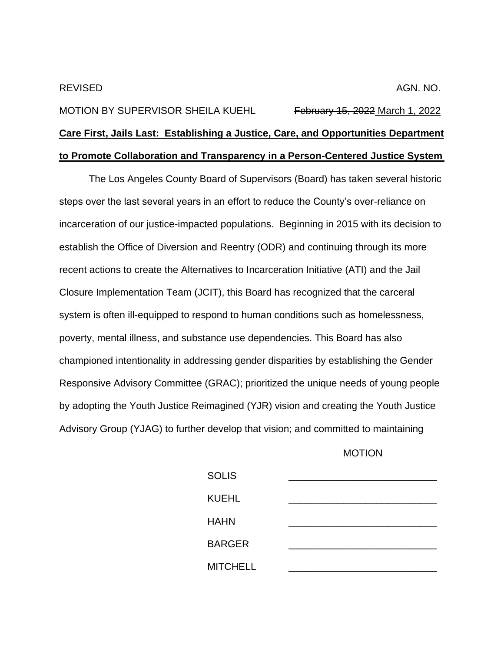## MOTION BY SUPERVISOR SHEILA KUEHL February 15, 2022 March 1, 2022 **Care First, Jails Last: Establishing a Justice, Care, and Opportunities Department to Promote Collaboration and Transparency in a Person-Centered Justice System**

The Los Angeles County Board of Supervisors (Board) has taken several historic steps over the last several years in an effort to reduce the County's over-reliance on incarceration of our justice-impacted populations. Beginning in 2015 with its decision to establish the Office of Diversion and Reentry (ODR) and continuing through its more recent actions to create the Alternatives to Incarceration Initiative (ATI) and the Jail Closure Implementation Team (JCIT), this Board has recognized that the carceral system is often ill-equipped to respond to human conditions such as homelessness, poverty, mental illness, and substance use dependencies. This Board has also championed intentionality in addressing gender disparities by establishing the Gender Responsive Advisory Committee (GRAC); prioritized the unique needs of young people by adopting the Youth Justice Reimagined (YJR) vision and creating the Youth Justice Advisory Group (YJAG) to further develop that vision; and committed to maintaining

## MOTION

| <b>SOLIS</b>    |  |
|-----------------|--|
| <b>KUEHL</b>    |  |
| <b>HAHN</b>     |  |
| <b>BARGER</b>   |  |
| <b>MITCHELL</b> |  |
|                 |  |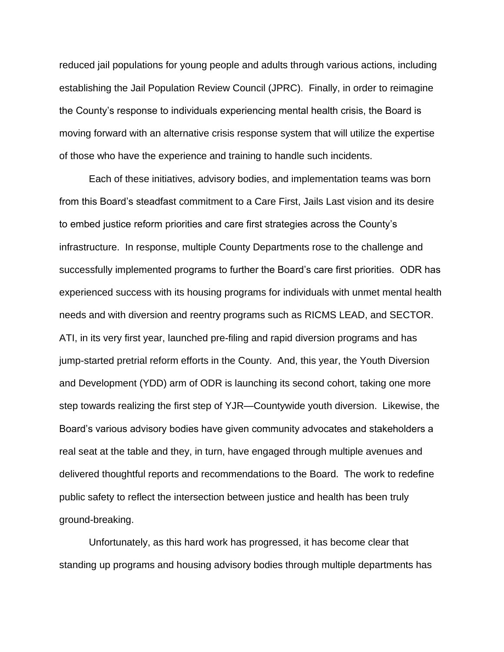reduced jail populations for young people and adults through various actions, including establishing the Jail Population Review Council (JPRC). Finally, in order to reimagine the County's response to individuals experiencing mental health crisis, the Board is moving forward with an alternative crisis response system that will utilize the expertise of those who have the experience and training to handle such incidents.

Each of these initiatives, advisory bodies, and implementation teams was born from this Board's steadfast commitment to a Care First, Jails Last vision and its desire to embed justice reform priorities and care first strategies across the County's infrastructure. In response, multiple County Departments rose to the challenge and successfully implemented programs to further the Board's care first priorities. ODR has experienced success with its housing programs for individuals with unmet mental health needs and with diversion and reentry programs such as RICMS LEAD, and SECTOR. ATI, in its very first year, launched pre-filing and rapid diversion programs and has jump-started pretrial reform efforts in the County. And, this year, the Youth Diversion and Development (YDD) arm of ODR is launching its second cohort, taking one more step towards realizing the first step of YJR—Countywide youth diversion. Likewise, the Board's various advisory bodies have given community advocates and stakeholders a real seat at the table and they, in turn, have engaged through multiple avenues and delivered thoughtful reports and recommendations to the Board. The work to redefine public safety to reflect the intersection between justice and health has been truly ground-breaking.

Unfortunately, as this hard work has progressed, it has become clear that standing up programs and housing advisory bodies through multiple departments has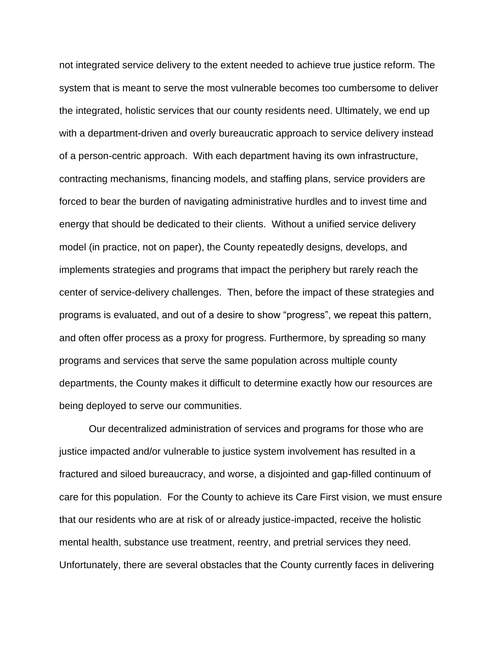not integrated service delivery to the extent needed to achieve true justice reform. The system that is meant to serve the most vulnerable becomes too cumbersome to deliver the integrated, holistic services that our county residents need. Ultimately, we end up with a department-driven and overly bureaucratic approach to service delivery instead of a person-centric approach. With each department having its own infrastructure, contracting mechanisms, financing models, and staffing plans, service providers are forced to bear the burden of navigating administrative hurdles and to invest time and energy that should be dedicated to their clients. Without a unified service delivery model (in practice, not on paper), the County repeatedly designs, develops, and implements strategies and programs that impact the periphery but rarely reach the center of service-delivery challenges. Then, before the impact of these strategies and programs is evaluated, and out of a desire to show "progress", we repeat this pattern, and often offer process as a proxy for progress. Furthermore, by spreading so many programs and services that serve the same population across multiple county departments, the County makes it difficult to determine exactly how our resources are being deployed to serve our communities.

Our decentralized administration of services and programs for those who are justice impacted and/or vulnerable to justice system involvement has resulted in a fractured and siloed bureaucracy, and worse, a disjointed and gap-filled continuum of care for this population. For the County to achieve its Care First vision, we must ensure that our residents who are at risk of or already justice-impacted, receive the holistic mental health, substance use treatment, reentry, and pretrial services they need. Unfortunately, there are several obstacles that the County currently faces in delivering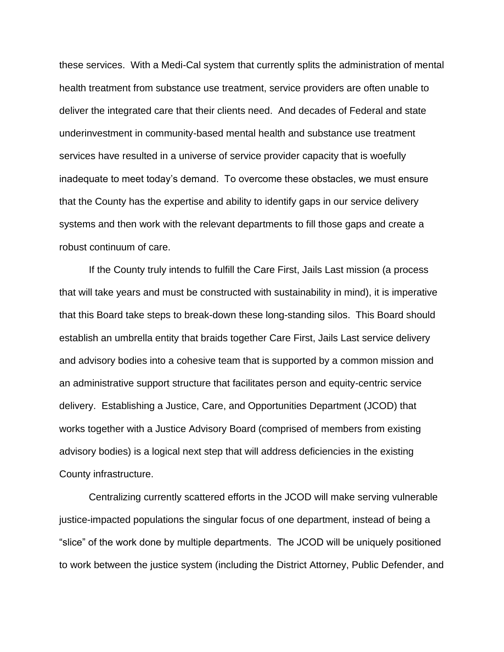these services. With a Medi-Cal system that currently splits the administration of mental health treatment from substance use treatment, service providers are often unable to deliver the integrated care that their clients need. And decades of Federal and state underinvestment in community-based mental health and substance use treatment services have resulted in a universe of service provider capacity that is woefully inadequate to meet today's demand. To overcome these obstacles, we must ensure that the County has the expertise and ability to identify gaps in our service delivery systems and then work with the relevant departments to fill those gaps and create a robust continuum of care.

If the County truly intends to fulfill the Care First, Jails Last mission (a process that will take years and must be constructed with sustainability in mind), it is imperative that this Board take steps to break-down these long-standing silos. This Board should establish an umbrella entity that braids together Care First, Jails Last service delivery and advisory bodies into a cohesive team that is supported by a common mission and an administrative support structure that facilitates person and equity-centric service delivery. Establishing a Justice, Care, and Opportunities Department (JCOD) that works together with a Justice Advisory Board (comprised of members from existing advisory bodies) is a logical next step that will address deficiencies in the existing County infrastructure.

Centralizing currently scattered efforts in the JCOD will make serving vulnerable justice-impacted populations the singular focus of one department, instead of being a "slice" of the work done by multiple departments. The JCOD will be uniquely positioned to work between the justice system (including the District Attorney, Public Defender, and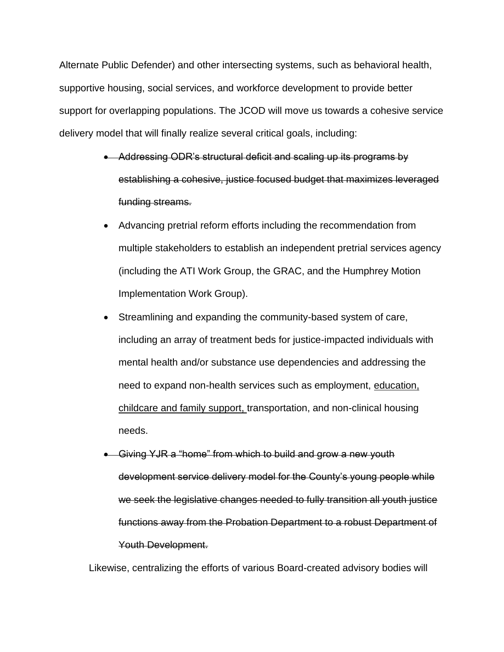Alternate Public Defender) and other intersecting systems, such as behavioral health, supportive housing, social services, and workforce development to provide better support for overlapping populations. The JCOD will move us towards a cohesive service delivery model that will finally realize several critical goals, including:

- Addressing ODR's structural deficit and scaling up its programs by establishing a cohesive, justice focused budget that maximizes leveraged funding streams.
- Advancing pretrial reform efforts including the recommendation from multiple stakeholders to establish an independent pretrial services agency (including the ATI Work Group, the GRAC, and the Humphrey Motion Implementation Work Group).
- Streamlining and expanding the community-based system of care, including an array of treatment beds for justice-impacted individuals with mental health and/or substance use dependencies and addressing the need to expand non-health services such as employment, education, childcare and family support, transportation, and non-clinical housing needs.
- Giving YJR a "home" from which to build and grow a new youth development service delivery model for the County's young people while we seek the legislative changes needed to fully transition all youth justice functions away from the Probation Department to a robust Department of Youth Development.

Likewise, centralizing the efforts of various Board-created advisory bodies will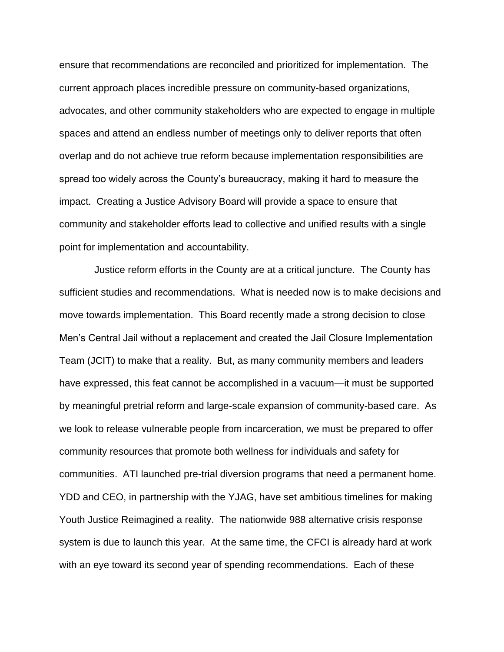ensure that recommendations are reconciled and prioritized for implementation. The current approach places incredible pressure on community-based organizations, advocates, and other community stakeholders who are expected to engage in multiple spaces and attend an endless number of meetings only to deliver reports that often overlap and do not achieve true reform because implementation responsibilities are spread too widely across the County's bureaucracy, making it hard to measure the impact. Creating a Justice Advisory Board will provide a space to ensure that community and stakeholder efforts lead to collective and unified results with a single point for implementation and accountability.

 Justice reform efforts in the County are at a critical juncture. The County has sufficient studies and recommendations. What is needed now is to make decisions and move towards implementation. This Board recently made a strong decision to close Men's Central Jail without a replacement and created the Jail Closure Implementation Team (JCIT) to make that a reality. But, as many community members and leaders have expressed, this feat cannot be accomplished in a vacuum—it must be supported by meaningful pretrial reform and large-scale expansion of community-based care. As we look to release vulnerable people from incarceration, we must be prepared to offer community resources that promote both wellness for individuals and safety for communities. ATI launched pre-trial diversion programs that need a permanent home. YDD and CEO, in partnership with the YJAG, have set ambitious timelines for making Youth Justice Reimagined a reality. The nationwide 988 alternative crisis response system is due to launch this year. At the same time, the CFCI is already hard at work with an eye toward its second year of spending recommendations. Each of these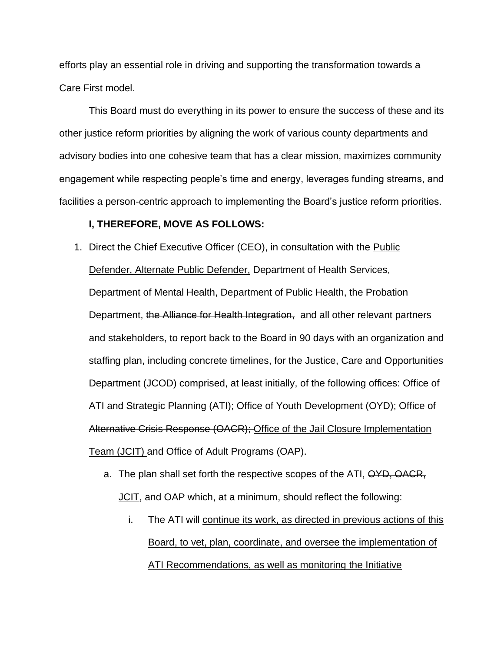efforts play an essential role in driving and supporting the transformation towards a Care First model.

This Board must do everything in its power to ensure the success of these and its other justice reform priorities by aligning the work of various county departments and advisory bodies into one cohesive team that has a clear mission, maximizes community engagement while respecting people's time and energy, leverages funding streams, and facilities a person-centric approach to implementing the Board's justice reform priorities.

## **I, THEREFORE, MOVE AS FOLLOWS:**

1. Direct the Chief Executive Officer (CEO), in consultation with the Public Defender, Alternate Public Defender, Department of Health Services, Department of Mental Health, Department of Public Health, the Probation Department, the Alliance for Health Integration, and all other relevant partners and stakeholders, to report back to the Board in 90 days with an organization and staffing plan, including concrete timelines, for the Justice, Care and Opportunities Department (JCOD) comprised, at least initially, of the following offices: Office of ATI and Strategic Planning (ATI); Office of Youth Development (OYD); Office of Alternative Crisis Response (OACR); Office of the Jail Closure Implementation Team (JCIT) and Office of Adult Programs (OAP).

- a. The plan shall set forth the respective scopes of the ATI, OYD, OACR, JCIT, and OAP which, at a minimum, should reflect the following:
	- i. The ATI will continue its work, as directed in previous actions of this Board, to vet, plan, coordinate, and oversee the implementation of ATI Recommendations, as well as monitoring the Initiative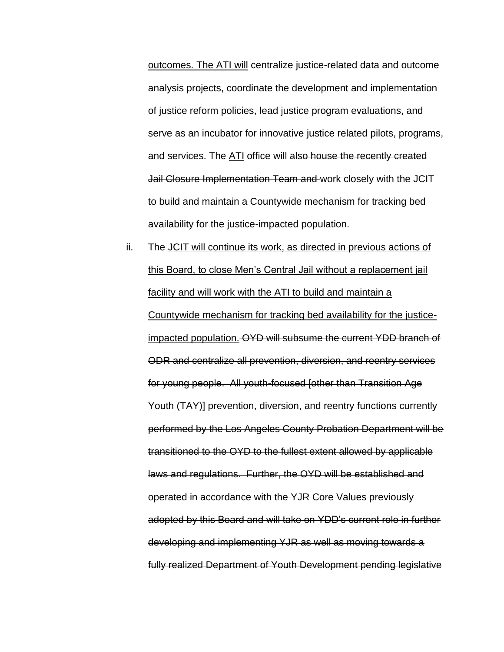outcomes. The ATI will centralize justice-related data and outcome analysis projects, coordinate the development and implementation of justice reform policies, lead justice program evaluations, and serve as an incubator for innovative justice related pilots, programs, and services. The ATI office will also house the recently created Jail Closure Implementation Team and work closely with the JCIT to build and maintain a Countywide mechanism for tracking bed availability for the justice-impacted population.

ii. The JCIT will continue its work, as directed in previous actions of this Board, to close Men's Central Jail without a replacement jail facility and will work with the ATI to build and maintain a Countywide mechanism for tracking bed availability for the justiceimpacted population. OYD will subsume the current YDD branch of ODR and centralize all prevention, diversion, and reentry services for young people. All youth-focused [other than Transition Age Youth (TAY)] prevention, diversion, and reentry functions currently performed by the Los Angeles County Probation Department will be transitioned to the OYD to the fullest extent allowed by applicable laws and regulations. Further, the OYD will be established and operated in accordance with the YJR Core Values previously adopted by this Board and will take on YDD's current role in further developing and implementing YJR as well as moving towards a fully realized Department of Youth Development pending legislative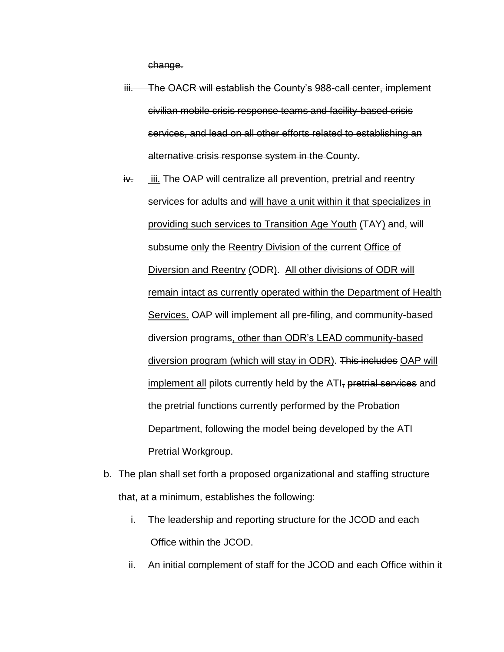change.

iii. The OACR will establish the County's 988-call center, implement civilian mobile crisis response teams and facility-based crisis services, and lead on all other efforts related to establishing an alternative crisis response system in the County.

- $iv.$  iii. The OAP will centralize all prevention, pretrial and reentry services for adults and will have a unit within it that specializes in providing such services to Transition Age Youth (TAY) and, will subsume only the Reentry Division of the current Office of Diversion and Reentry (ODR). All other divisions of ODR will remain intact as currently operated within the Department of Health Services. OAP will implement all pre-filing, and community-based diversion programs, other than ODR's LEAD community-based diversion program (which will stay in ODR). This includes OAP will implement all pilots currently held by the ATI, pretrial services and the pretrial functions currently performed by the Probation Department, following the model being developed by the ATI Pretrial Workgroup.
- b. The plan shall set forth a proposed organizational and staffing structure that, at a minimum, establishes the following:
	- i. The leadership and reporting structure for the JCOD and each Office within the JCOD.
	- ii. An initial complement of staff for the JCOD and each Office within it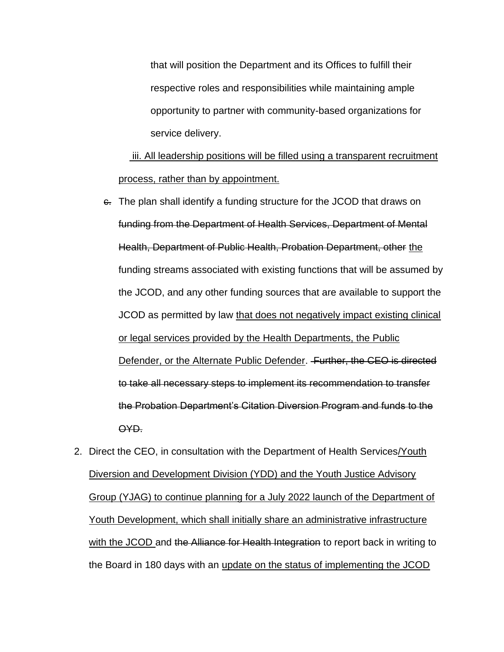that will position the Department and its Offices to fulfill their respective roles and responsibilities while maintaining ample opportunity to partner with community-based organizations for service delivery.

 iii. All leadership positions will be filled using a transparent recruitment process, rather than by appointment.

- $\epsilon$ . The plan shall identify a funding structure for the JCOD that draws on funding from the Department of Health Services, Department of Mental Health, Department of Public Health, Probation Department, other the funding streams associated with existing functions that will be assumed by the JCOD, and any other funding sources that are available to support the JCOD as permitted by law that does not negatively impact existing clinical or legal services provided by the Health Departments, the Public Defender, or the Alternate Public Defender. Further, the CEO is directed to take all necessary steps to implement its recommendation to transfer the Probation Department's Citation Diversion Program and funds to the OYD.
- 2. Direct the CEO, in consultation with the Department of Health Services/Youth Diversion and Development Division (YDD) and the Youth Justice Advisory Group (YJAG) to continue planning for a July 2022 launch of the Department of Youth Development, which shall initially share an administrative infrastructure with the JCOD and the Alliance for Health Integration to report back in writing to the Board in 180 days with an update on the status of implementing the JCOD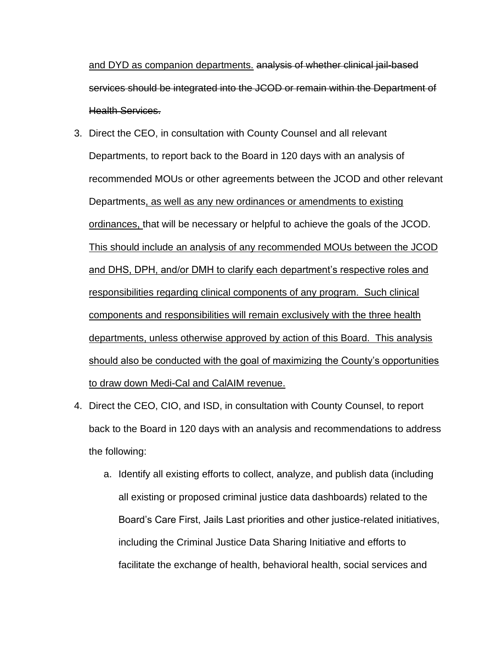and DYD as companion departments. analysis of whether clinical jail-based services should be integrated into the JCOD or remain within the Department of Health Services.

- 3. Direct the CEO, in consultation with County Counsel and all relevant Departments, to report back to the Board in 120 days with an analysis of recommended MOUs or other agreements between the JCOD and other relevant Departments, as well as any new ordinances or amendments to existing ordinances, that will be necessary or helpful to achieve the goals of the JCOD. This should include an analysis of any recommended MOUs between the JCOD and DHS, DPH, and/or DMH to clarify each department's respective roles and responsibilities regarding clinical components of any program. Such clinical components and responsibilities will remain exclusively with the three health departments, unless otherwise approved by action of this Board. This analysis should also be conducted with the goal of maximizing the County's opportunities to draw down Medi-Cal and CalAIM revenue.
- 4. Direct the CEO, CIO, and ISD, in consultation with County Counsel, to report back to the Board in 120 days with an analysis and recommendations to address the following:
	- a. Identify all existing efforts to collect, analyze, and publish data (including all existing or proposed criminal justice data dashboards) related to the Board's Care First, Jails Last priorities and other justice-related initiatives, including the Criminal Justice Data Sharing Initiative and efforts to facilitate the exchange of health, behavioral health, social services and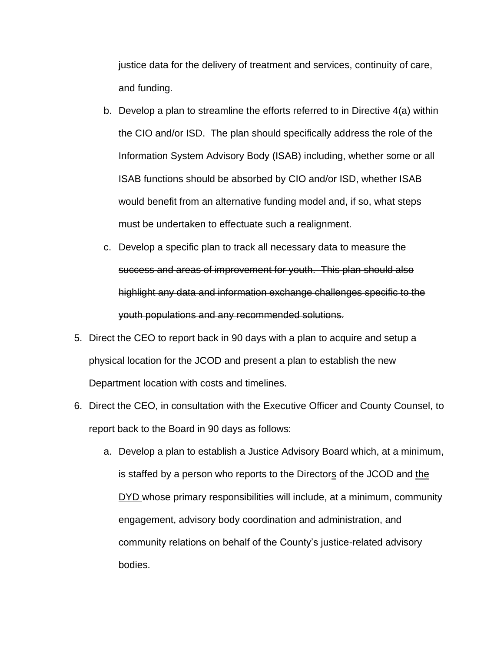justice data for the delivery of treatment and services, continuity of care, and funding.

- b. Develop a plan to streamline the efforts referred to in Directive 4(a) within the CIO and/or ISD. The plan should specifically address the role of the Information System Advisory Body (ISAB) including, whether some or all ISAB functions should be absorbed by CIO and/or ISD, whether ISAB would benefit from an alternative funding model and, if so, what steps must be undertaken to effectuate such a realignment.
- c. Develop a specific plan to track all necessary data to measure the success and areas of improvement for youth. This plan should also highlight any data and information exchange challenges specific to the youth populations and any recommended solutions.
- 5. Direct the CEO to report back in 90 days with a plan to acquire and setup a physical location for the JCOD and present a plan to establish the new Department location with costs and timelines.
- 6. Direct the CEO, in consultation with the Executive Officer and County Counsel, to report back to the Board in 90 days as follows:
	- a. Develop a plan to establish a Justice Advisory Board which, at a minimum, is staffed by a person who reports to the Directors of the JCOD and the DYD whose primary responsibilities will include, at a minimum, community engagement, advisory body coordination and administration, and community relations on behalf of the County's justice-related advisory bodies.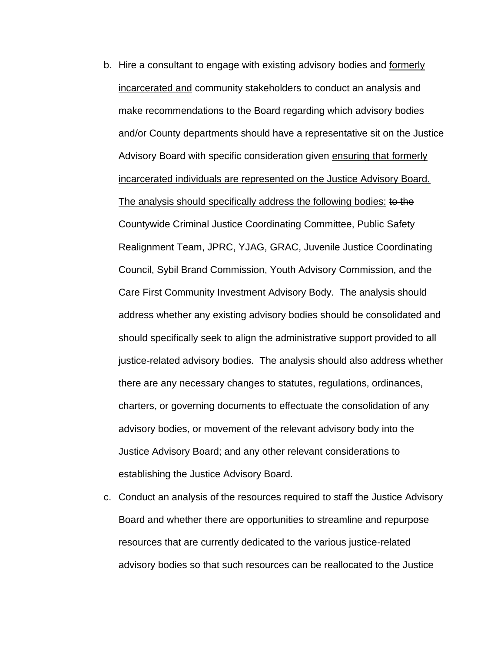- b. Hire a consultant to engage with existing advisory bodies and formerly incarcerated and community stakeholders to conduct an analysis and make recommendations to the Board regarding which advisory bodies and/or County departments should have a representative sit on the Justice Advisory Board with specific consideration given ensuring that formerly incarcerated individuals are represented on the Justice Advisory Board. The analysis should specifically address the following bodies: to the Countywide Criminal Justice Coordinating Committee, Public Safety Realignment Team, JPRC, YJAG, GRAC, Juvenile Justice Coordinating Council, Sybil Brand Commission, Youth Advisory Commission, and the Care First Community Investment Advisory Body. The analysis should address whether any existing advisory bodies should be consolidated and should specifically seek to align the administrative support provided to all justice-related advisory bodies. The analysis should also address whether there are any necessary changes to statutes, regulations, ordinances, charters, or governing documents to effectuate the consolidation of any advisory bodies, or movement of the relevant advisory body into the Justice Advisory Board; and any other relevant considerations to establishing the Justice Advisory Board.
- c. Conduct an analysis of the resources required to staff the Justice Advisory Board and whether there are opportunities to streamline and repurpose resources that are currently dedicated to the various justice-related advisory bodies so that such resources can be reallocated to the Justice